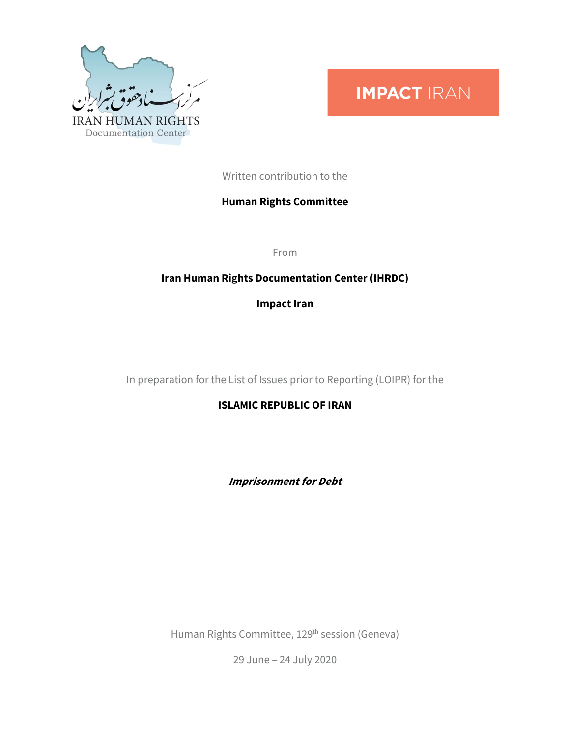

# **IMPACT IRAN**

Written contribution to the

## **Human Rights Committee**

From

## **Iran Human Rights Documentation Center (IHRDC)**

**Impact Iran**

In preparation for the List of Issues prior to Reporting (LOIPR) for the

**ISLAMIC REPUBLIC OF IRAN**

**Imprisonment for Debt**

Human Rights Committee, 129th session (Geneva)

29 June – 24 July 2020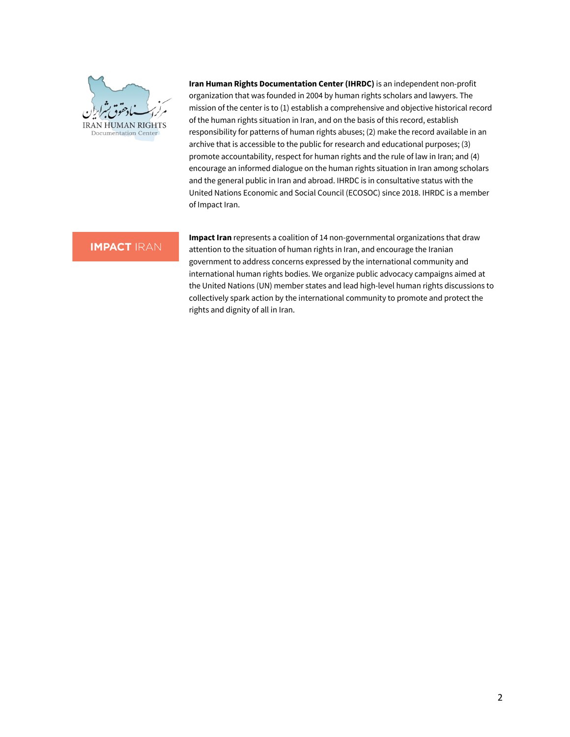

**Iran Human Rights Documentation Center (IHRDC)** is an independent non-profit organization that was founded in 2004 by human rights scholars and lawyers. The mission of the center is to (1) establish a comprehensive and objective historical record of the human rights situation in Iran, and on the basis of this record, establish responsibility for patterns of human rights abuses; (2) make the record available in an archive that is accessible to the public for research and educational purposes; (3) promote accountability, respect for human rights and the rule of law in Iran; and (4) encourage an informed dialogue on the human rights situation in Iran among scholars and the general public in Iran and abroad. IHRDC is in consultative status with the United Nations Economic and Social Council (ECOSOC) since 2018. IHRDC is a member of Impact Iran.

### **IMPACT IRAN**

**Impact Iran** represents a coalition of 14 non-governmental organizations that draw attention to the situation of human rights in Iran, and encourage the Iranian government to address concerns expressed by the international community and international human rights bodies. We organize public advocacy campaigns aimed at the United Nations (UN) member states and lead high-level human rights discussions to collectively spark action by the international community to promote and protect the rights and dignity of all in Iran.